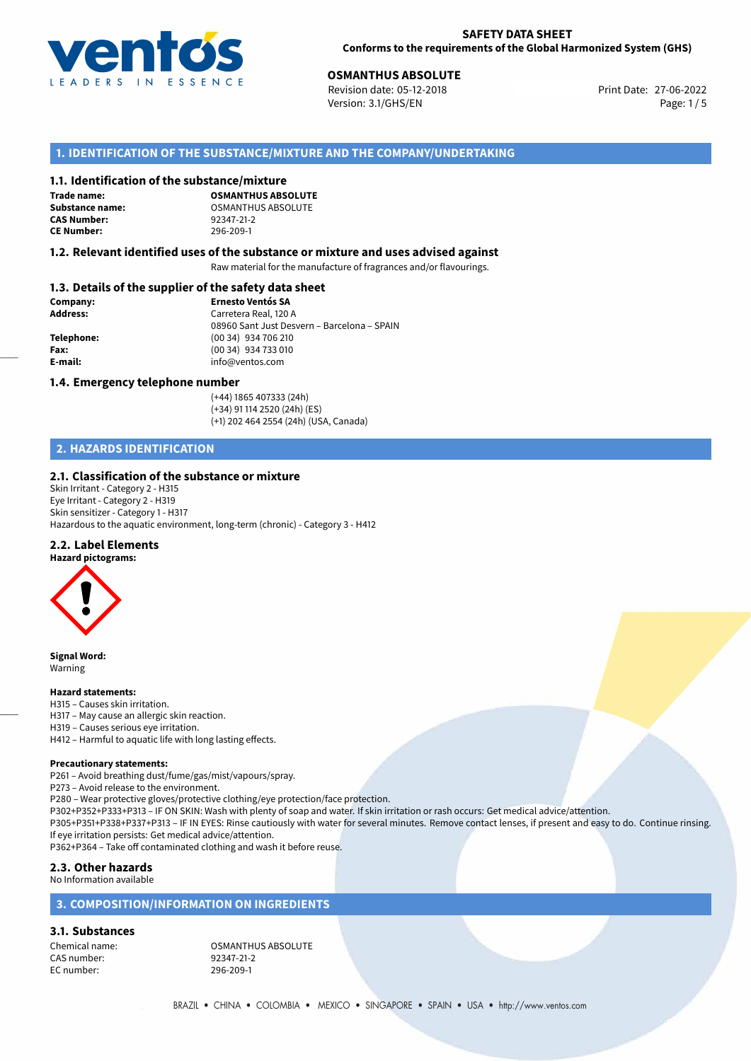

**OSMANTHUS ABSOLUTE**<br>
Revision date: 05-12-2018 **Print Date: 27-06-2022** Version: 3.1/GHS/EN Page: 1 / 5

# **1. IDENTIFICATION OF THE SUBSTANCE/MIXTURE AND THE COMPANY/UNDERTAKING**

#### **1.1. Identification of the substance/mixture**

**Trade name: CAS Number: CE Number:** 296-209-1

**OSMANTHUS ABSOLUTE Substance name:** CSMANTHUS ABSOLUTE<br> **CAS Number:** 92347-21-2

#### **1.2. Relevant identified uses of the substance or mixture and uses advised against**

Raw material for the manufacture of fragrances and/or flavourings.

## **1.3. Details of the supplier of the safety data sheet**

| Company:        | <b>Ernesto Ventós SA</b>                    |
|-----------------|---------------------------------------------|
| <b>Address:</b> | Carretera Real, 120 A                       |
|                 | 08960 Sant Just Desvern - Barcelona - SPAIN |
| Telephone:      | (00 34) 934 706 210                         |
| Fax:            | (00 34) 934 733 010                         |
| E-mail:         | info@ventos.com                             |
|                 |                                             |

#### **1.4. Emergency telephone number**

(+44) 1865 407333 (24h) (+34) 91 114 2520 (24h) (ES) (+1) 202 464 2554 (24h) (USA, Canada)

# **2. HAZARDS IDENTIFICATION**

#### **2.1. Classification of the substance or mixture**

Skin Irritant - Category 2 - H315 Eye Irritant - Category 2 - H319 Skin sensitizer - Category 1 - H317 Hazardous to the aquatic environment, long-term (chronic) - Category 3 - H412

#### **2.2. Label Elements**

**Hazard pictograms:**



**Signal Word:** Warning

#### **Hazard statements:**

H315 – Causes skin irritation.

H317 – May cause an allergic skin reaction.

H319 – Causes serious eye irritation.

H412 – Harmful to aquatic life with long lasting effects.

#### **Precautionary statements:**

P261 – Avoid breathing dust/fume/gas/mist/vapours/spray.

P273 – Avoid release to the environment.

P280 – Wear protective gloves/protective clothing/eye protection/face protection.

P302+P352+P333+P313 – IF ON SKIN: Wash with plenty of soap and water. If skin irritation or rash occurs: Get medical advice/attention.

P305+P351+P338+P337+P313 – IF IN EYES: Rinse cautiously with water for several minutes. Remove contact lenses, if present and easy to do. Continue rinsing. If eye irritation persists: Get medical advice/attention.

P362+P364 – Take off contaminated clothing and wash it before reuse.

# **2.3. Other hazards**

No Information available

# **3. COMPOSITION/INFORMATION ON INGREDIENTS**

**3.1. Substances**

CAS number: EC number: 296-209-1

Chemical name: COSMANTHUS ABSOLUTE<br>
CAS number: 092347-21-2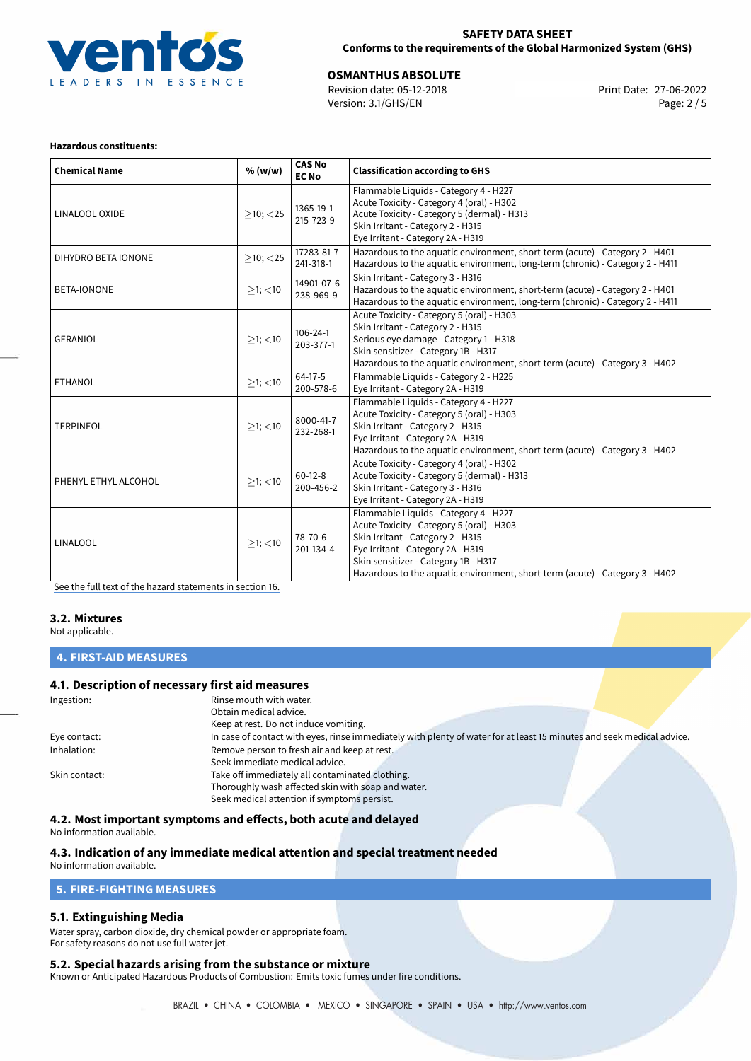

## **SAFETY DATA SHEET Conforms to the requirements of the Global Harmonized System (GHS)**

**OSMANTHUS ABSOLUTE**<br>
Revision date: 05-12-2018 **Print Date: 27-06-2022** Version: 3.1/GHS/EN Page: 2 / 5

#### **Hazardous constituents:**

| <b>Chemical Name</b> | % (w/w)        | <b>CAS No</b><br><b>EC No</b> | <b>Classification according to GHS</b>                                                                                                                                                                                                                                               |
|----------------------|----------------|-------------------------------|--------------------------------------------------------------------------------------------------------------------------------------------------------------------------------------------------------------------------------------------------------------------------------------|
| LINALOOL OXIDE       | $\geq$ 10; <25 | 1365-19-1<br>215-723-9        | Flammable Liquids - Category 4 - H227<br>Acute Toxicity - Category 4 (oral) - H302<br>Acute Toxicity - Category 5 (dermal) - H313<br>Skin Irritant - Category 2 - H315<br>Eye Irritant - Category 2A - H319                                                                          |
| DIHYDRO BETA IONONE  | $>10$ ; $<$ 25 | 17283-81-7<br>241-318-1       | Hazardous to the aquatic environment, short-term (acute) - Category 2 - H401<br>Hazardous to the aquatic environment, long-term (chronic) - Category 2 - H411                                                                                                                        |
| <b>BETA-IONONE</b>   | $>1$ ; $<$ 10  | 14901-07-6<br>238-969-9       | Skin Irritant - Category 3 - H316<br>Hazardous to the aquatic environment, short-term (acute) - Category 2 - H401<br>Hazardous to the aquatic environment, long-term (chronic) - Category 2 - H411                                                                                   |
| <b>GERANIOL</b>      | $\geq$ 1; <10  | $106 - 24 - 1$<br>203-377-1   | Acute Toxicity - Category 5 (oral) - H303<br>Skin Irritant - Category 2 - H315<br>Serious eye damage - Category 1 - H318<br>Skin sensitizer - Category 1B - H317<br>Hazardous to the aquatic environment, short-term (acute) - Category 3 - H402                                     |
| <b>ETHANOL</b>       | $>1$ ; <10     | 64-17-5<br>200-578-6          | Flammable Liquids - Category 2 - H225<br>Eye Irritant - Category 2A - H319                                                                                                                                                                                                           |
| <b>TERPINEOL</b>     | $>1$ ; <10     | 8000-41-7<br>232-268-1        | Flammable Liquids - Category 4 - H227<br>Acute Toxicity - Category 5 (oral) - H303<br>Skin Irritant - Category 2 - H315<br>Eye Irritant - Category 2A - H319<br>Hazardous to the aquatic environment, short-term (acute) - Category 3 - H402                                         |
| PHENYL ETHYL ALCOHOL | $\geq$ 1; <10  | $60-12-8$<br>200-456-2        | Acute Toxicity - Category 4 (oral) - H302<br>Acute Toxicity - Category 5 (dermal) - H313<br>Skin Irritant - Category 3 - H316<br>Eye Irritant - Category 2A - H319                                                                                                                   |
| <b>LINALOOL</b>      | $>1$ ; $<$ 10  | 78-70-6<br>201-134-4          | Flammable Liquids - Category 4 - H227<br>Acute Toxicity - Category 5 (oral) - H303<br>Skin Irritant - Category 2 - H315<br>Eye Irritant - Category 2A - H319<br>Skin sensitizer - Category 1B - H317<br>Hazardous to the aquatic environment, short-term (acute) - Category 3 - H402 |

[See the full text of the hazard statements in section 16.](#page-4-0)

#### **3.2. Mixtures**

Not applicable.

**4. FIRST-AID MEASURES**

#### **4.1. Description of necessary first aid measures**

| Ingestion:    | Rinse mouth with water.                                                                                               |
|---------------|-----------------------------------------------------------------------------------------------------------------------|
|               | Obtain medical advice.                                                                                                |
|               | Keep at rest. Do not induce vomiting.                                                                                 |
| Eye contact:  | In case of contact with eyes, rinse immediately with plenty of water for at least 15 minutes and seek medical advice. |
| Inhalation:   | Remove person to fresh air and keep at rest.                                                                          |
|               | Seek immediate medical advice.                                                                                        |
| Skin contact: | Take off immediately all contaminated clothing.                                                                       |
|               | Thoroughly wash affected skin with soap and water.                                                                    |
|               | Seek medical attention if symptoms persist.                                                                           |

**4.2. Most important symptoms and effects, both acute and delayed**

No information available.

#### **4.3. Indication of any immediate medical attention and special treatment needed**

No information available.

#### **5. FIRE-FIGHTING MEASURES**

#### **5.1. Extinguishing Media**

Water spray, carbon dioxide, dry chemical powder or appropriate foam. For safety reasons do not use full water jet.

#### **5.2. Special hazards arising from the substance or mixture**

Known or Anticipated Hazardous Products of Combustion: Emits toxic fumes under fire conditions.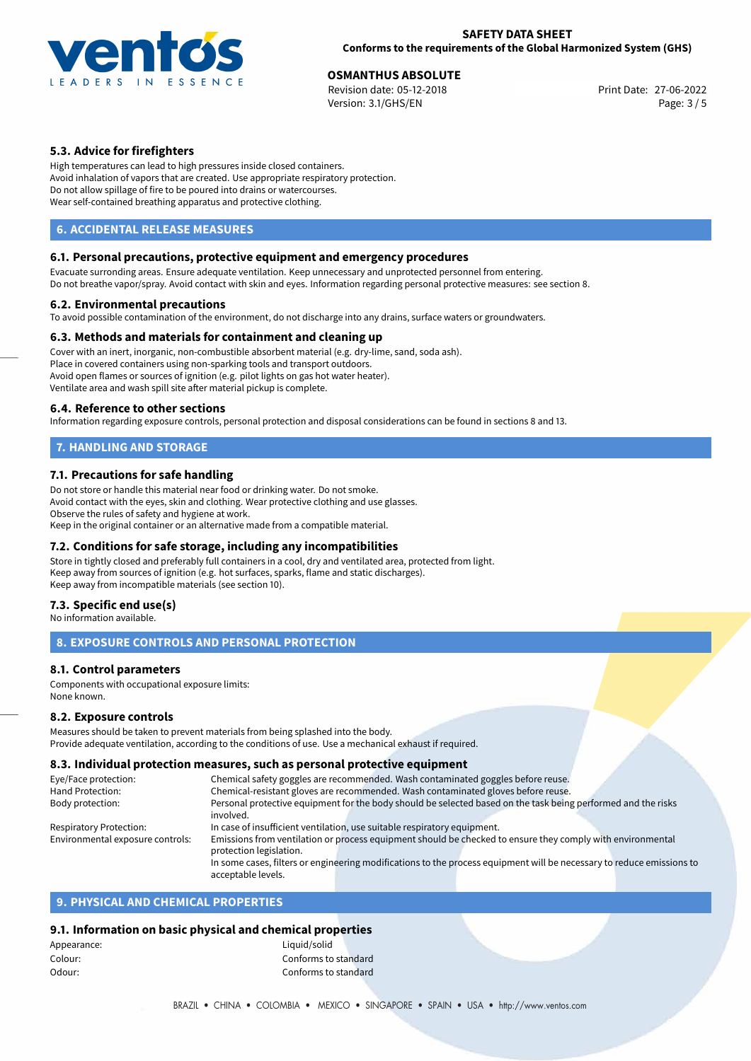

**OSMANTHUS ABSOLUTE**<br>
Revision date: 05-12-2018 **Print Date: 27-06-2022** Version: 3.1/GHS/EN Page: 3 / 5

# **5.3. Advice for firefighters**

High temperatures can lead to high pressures inside closed containers. Avoid inhalation of vapors that are created. Use appropriate respiratory protection. Do not allow spillage of fire to be poured into drains or watercourses. Wear self-contained breathing apparatus and protective clothing.

## **6. ACCIDENTAL RELEASE MEASURES**

#### **6.1. Personal precautions, protective equipment and emergency procedures**

Evacuate surronding areas. Ensure adequate ventilation. Keep unnecessary and unprotected personnel from entering. Do not breathe vapor/spray. Avoid contact with skin and eyes. Information regarding personal protective measures: see section 8.

#### **6.2. Environmental precautions**

To avoid possible contamination of the environment, do not discharge into any drains, surface waters or groundwaters.

#### **6.3. Methods and materials for containment and cleaning up**

Cover with an inert, inorganic, non-combustible absorbent material (e.g. dry-lime, sand, soda ash). Place in covered containers using non-sparking tools and transport outdoors. Avoid open flames or sources of ignition (e.g. pilot lights on gas hot water heater). Ventilate area and wash spill site after material pickup is complete.

#### **6.4. Reference to other sections**

Information regarding exposure controls, personal protection and disposal considerations can be found in sections 8 and 13.

# **7. HANDLING AND STORAGE**

#### **7.1. Precautions for safe handling**

Do not store or handle this material near food or drinking water. Do not smoke. Avoid contact with the eyes, skin and clothing. Wear protective clothing and use glasses. Observe the rules of safety and hygiene at work. Keep in the original container or an alternative made from a compatible material.

#### **7.2. Conditions for safe storage, including any incompatibilities**

Store in tightly closed and preferably full containers in a cool, dry and ventilated area, protected from light. Keep away from sources of ignition (e.g. hot surfaces, sparks, flame and static discharges). Keep away from incompatible materials (see section 10).

#### **7.3. Specific end use(s)**

No information available.

# **8. EXPOSURE CONTROLS AND PERSONAL PROTECTION**

## **8.1. Control parameters**

Components with occupational exposure limits: None known.

#### **8.2. Exposure controls**

Measures should be taken to prevent materials from being splashed into the body. Provide adequate ventilation, according to the conditions of use. Use a mechanical exhaust if required.

## **8.3. Individual protection measures, such as personal protective equipment**

| Eye/Face protection:             |                                                                                                               | Chemical safety goggles are recommended. Wash contaminated goggles before reuse.                                      |  |
|----------------------------------|---------------------------------------------------------------------------------------------------------------|-----------------------------------------------------------------------------------------------------------------------|--|
| Hand Protection:                 | Chemical-resistant gloves are recommended. Wash contaminated gloves before reuse.                             |                                                                                                                       |  |
| Body protection:                 | Personal protective equipment for the body should be selected based on the task being performed and the risks |                                                                                                                       |  |
|                                  | involved.                                                                                                     |                                                                                                                       |  |
| Respiratory Protection:          |                                                                                                               | In case of insufficient ventilation, use suitable respiratory equipment.                                              |  |
| Environmental exposure controls: |                                                                                                               | Emissions from ventilation or process equipment should be checked to ensure they comply with environmental            |  |
|                                  | protection legislation.                                                                                       |                                                                                                                       |  |
|                                  |                                                                                                               | In some cases, filters or engineering modifications to the process equipment will be necessary to reduce emissions to |  |
|                                  | acceptable levels.                                                                                            |                                                                                                                       |  |

# **9. PHYSICAL AND CHEMICAL PROPERTIES**

## **9.1. Information on basic physical and chemical properties**

| Liquid/solid         |  |
|----------------------|--|
| Conforms to standard |  |
| Conforms to standard |  |
|                      |  |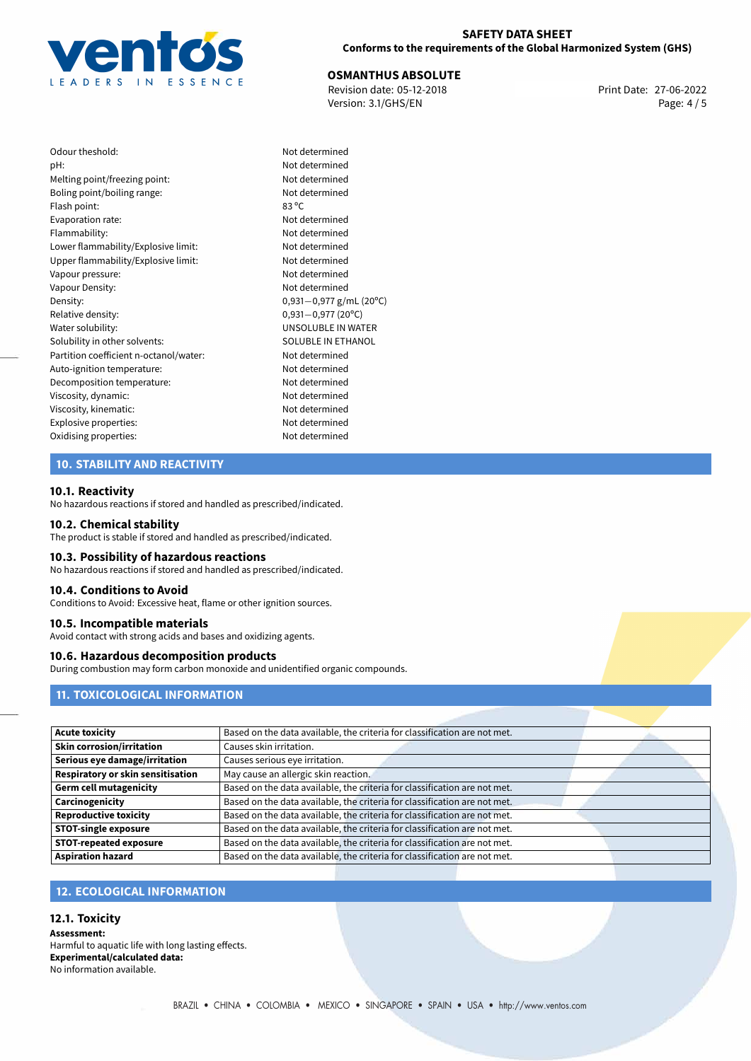

## **SAFETY DATA SHEET Conforms to the requirements of the Global Harmonized System (GHS)**

**OSMANTHUS ABSOLUTE**<br>
Revision date: 05-12-2018 **Print Date: 27-06-2022** Version: 3.1/GHS/EN Page: 4 / 5

Not determined Not determined Not determined Not determined

Not determined Not determined Not determined Upper flammability/Explosive limit: Not determined Not determined Not determined Density: 0,931*−*0,977 g/mL (20ºC) Relative density: 0,931*−*0,977 (20ºC) UNSOLUBLE IN WATER SOLUBLE IN ETHANOL Not determined Not determined Not determined Not determined Not determined Explosive properties: Not determined Not determined

| Odour theshold:                        | Not c            |
|----------------------------------------|------------------|
| pH:                                    | Not c            |
| Melting point/freezing point:          | Not c            |
| Boling point/boiling range:            | Not c            |
| Flash point:                           | 83 °C            |
| Evaporation rate:                      | Not c            |
| Flammability:                          | Not c            |
| Lower flammability/Explosive limit:    | Not c            |
| Upper flammability/Explosive limit:    | Not c            |
| Vapour pressure:                       | Not c            |
| Vapour Density:                        | Not c            |
| Density:                               | 0,931            |
| Relative density:                      | 0,931            |
| Water solubility:                      | UNS <sub>®</sub> |
| Solubility in other solvents:          | SOLL             |
| Partition coefficient n-octanol/water: | Not c            |
| Auto-ignition temperature:             | Not c            |
| Decomposition temperature:             | Not c            |
| Viscosity, dynamic:                    | Not c            |
| Viscosity, kinematic:                  | Not c            |
| Explosive properties:                  | Not c            |
| Oxidising properties:                  | Not c            |
|                                        |                  |

# **10. STABILITY AND REACTIVITY**

# **10.1. Reactivity**

No hazardous reactions if stored and handled as prescribed/indicated.

#### **10.2. Chemical stability**

The product is stable if stored and handled as prescribed/indicated.

#### **10.3. Possibility of hazardous reactions**

No hazardous reactions if stored and handled as prescribed/indicated.

#### **10.4. Conditions to Avoid**

Conditions to Avoid: Excessive heat, flame or other ignition sources.

#### **10.5. Incompatible materials**

Avoid contact with strong acids and bases and oxidizing agents.

## **10.6. Hazardous decomposition products**

During combustion may form carbon monoxide and unidentified organic compounds.

# **11. TOXICOLOGICAL INFORMATION**

| <b>Acute toxicity</b>             | Based on the data available, the criteria for classification are not met. |  |
|-----------------------------------|---------------------------------------------------------------------------|--|
| <b>Skin corrosion/irritation</b>  | Causes skin irritation.                                                   |  |
| Serious eye damage/irritation     | Causes serious eye irritation.                                            |  |
| Respiratory or skin sensitisation | May cause an allergic skin reaction.                                      |  |
| <b>Germ cell mutagenicity</b>     | Based on the data available, the criteria for classification are not met. |  |
| Carcinogenicity                   | Based on the data available, the criteria for classification are not met. |  |
| <b>Reproductive toxicity</b>      | Based on the data available, the criteria for classification are not met. |  |
| <b>STOT-single exposure</b>       | Based on the data available, the criteria for classification are not met. |  |
| <b>STOT-repeated exposure</b>     | Based on the data available, the criteria for classification are not met. |  |
| <b>Aspiration hazard</b>          | Based on the data available, the criteria for classification are not met. |  |

# **12. ECOLOGICAL INFORMATION**

#### **12.1. Toxicity**

**Assessment:** Harmful to aquatic life with long lasting effects. **Experimental/calculated data:** No information available.